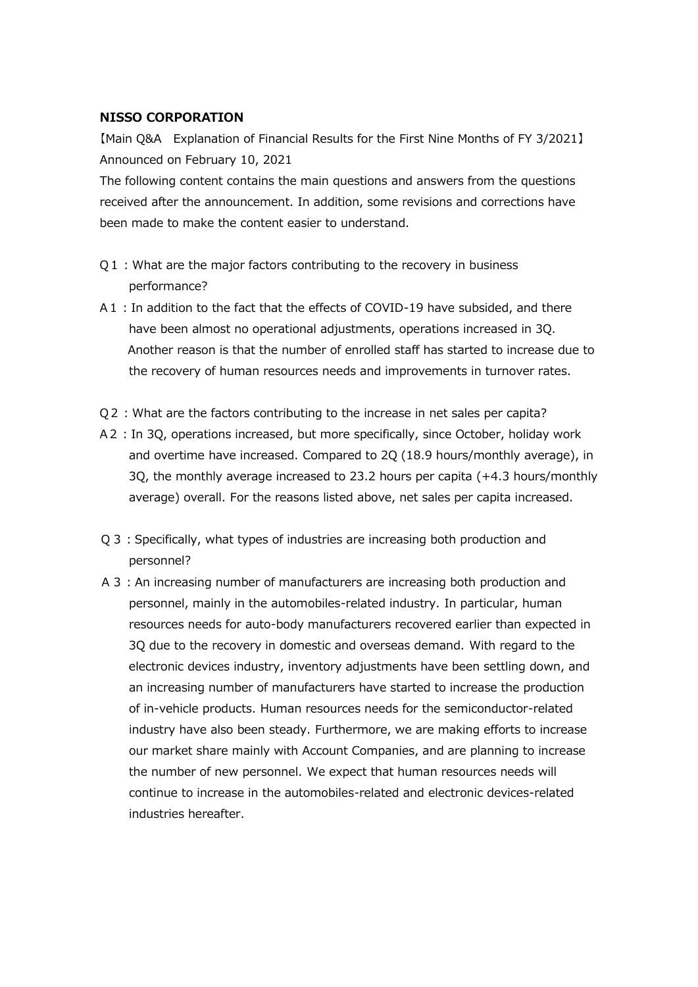## **NISSO CORPORATION**

【Main Q&A Explanation of Financial Results for the First Nine Months of FY 3/2021】 Announced on February 10, 2021

The following content contains the main questions and answers from the questions received after the announcement. In addition, some revisions and corrections have been made to make the content easier to understand.

- Q1: What are the major factors contributing to the recovery in business performance?
- A1: In addition to the fact that the effects of COVID-19 have subsided, and there have been almost no operational adjustments, operations increased in 3Q. Another reason is that the number of enrolled staff has started to increase due to the recovery of human resources needs and improvements in turnover rates.
- Q2:What are the factors contributing to the increase in net sales per capita?
- A2:In 3Q, operations increased, but more specifically, since October, holiday work and overtime have increased. Compared to 2Q (18.9 hours/monthly average), in 3Q, the monthly average increased to 23.2 hours per capita (+4.3 hours/monthly average) overall. For the reasons listed above, net sales per capita increased.
- Q3:Specifically, what types of industries are increasing both production and personnel?
- A 3: An increasing number of manufacturers are increasing both production and personnel, mainly in the automobiles-related industry. In particular, human resources needs for auto-body manufacturers recovered earlier than expected in 3Q due to the recovery in domestic and overseas demand. With regard to the electronic devices industry, inventory adjustments have been settling down, and an increasing number of manufacturers have started to increase the production of in-vehicle products. Human resources needs for the semiconductor-related industry have also been steady. Furthermore, we are making efforts to increase our market share mainly with Account Companies, and are planning to increase the number of new personnel. We expect that human resources needs will continue to increase in the automobiles-related and electronic devices-related industries hereafter.